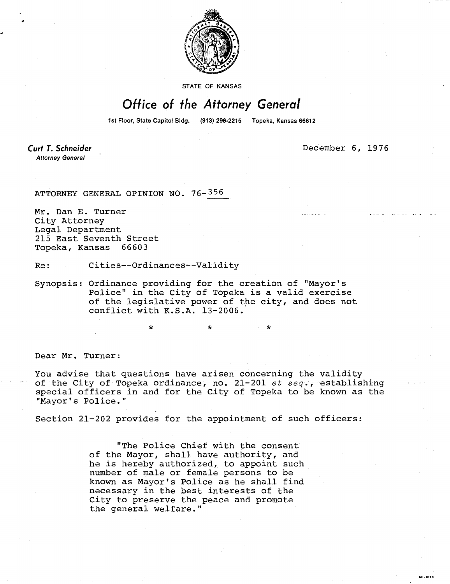

**STATE OF KANSAS** 

## Office of the Attorney General

1st Floor, State Capitol Bldg. (913) 296-2215 Topeka, Kansas 66612

Curt T. Schneider **Attorney General** 

December 6, 1976

ATTORNEY GENERAL OPINION NO. 76-356

Mr. Dan E. Turner City Attorney Legal Department 215 East Seventh Street Topeka, Kansas 66603

Re: Cities--Ordinances--Validity

Synopsis: Ordinance providing for the creation of "Mayor's Police" in the City of Topeka is a valid exercise of the legislative power of the city, and does not conflict with K.S.A. 13-2006.

Dear Mr. Turner:

You advise that questions have arisen concerning the validity of the City of Topeka ordinance, no. 21-201 et seq., establishing special officers in and for the City of Topeka to be known as the "Mayor's Police."

\* \*

Section 21-202 provides for the appointment of such officers:

"The Police Chief with the consent of the Mayor, shall have authority, and he is hereby authorized, to appoint such number of male or female persons to be known as Mayor's Police as he shall find necessary in the best interests of the City to preserve the peace and promote the general welfare."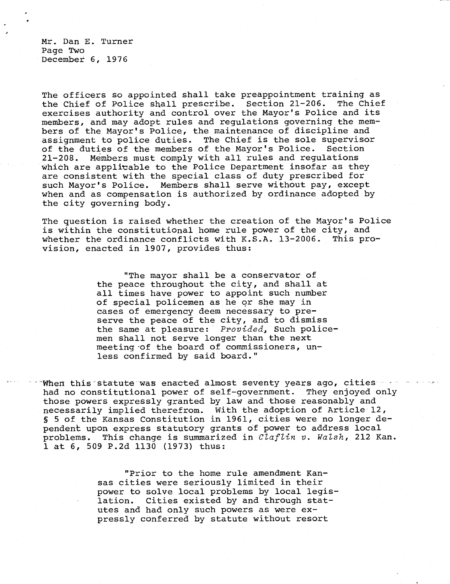Mr. Dan E. Turner Page Two December 6, 1976

The officers so appointed shall take preappointment training as the Chief of Police shall prescribe. Section 21-206. The Chief exercises authority and control over the Mayor's Police and its members, and may adopt rules and regulations governing the members of the Mayor's Police, the maintenance of discipline and assignment to police duties. The Chief is the sole supervisor of the duties of the members of the Mayor's Police. Section 21-208. Members must comply with all rules and regulations which are applicable to the Police Department insofar as they are consistent with the special class of duty prescribed for such Mayor's Police. Members shall serve without pay, except when and as compensation is authorized by ordinance adopted by the city governing body.

The question is raised whether the creation of the Mayor's Police is within the constitutional home rule power of the city, and whether the ordinance conflicts with K.S.A. 13-2006. This provision, enacted in 1907, provides thus:

> "The mayor shall be a conservator of the peace throughout the city, and shall at all times have power to appoint such number of special policemen as he or she may in cases of emergency deem necessary to preserve the peace of the city, and to dismiss the same at pleasure: Provided, Such policemen shall not serve longer than the next meeting of the board of commissioners, unless confirmed by said board."

When this statute was enacted almost seventy years ago, cities  $$ had no constitutional power of self-government. They enjoyed only those powers expressly granted by law and those reasonably and necessarily implied therefrom. With the adoption of Article 12, § 5 of the Kansas Constitution in 1961, cities were no longer dependent upon express statutory grants of power to address local problems. This change is summarized in Claflin v. Walsh, 212 Kan. 1 at 6, 509 P.2d 1130 (1973) thus:

> "Prior to the home rule amendment Kansas cities were seriously limited in their power to solve local problems by local legislation. Cities existed by and through statutes and had only such powers as were expressly conferred by statute without resort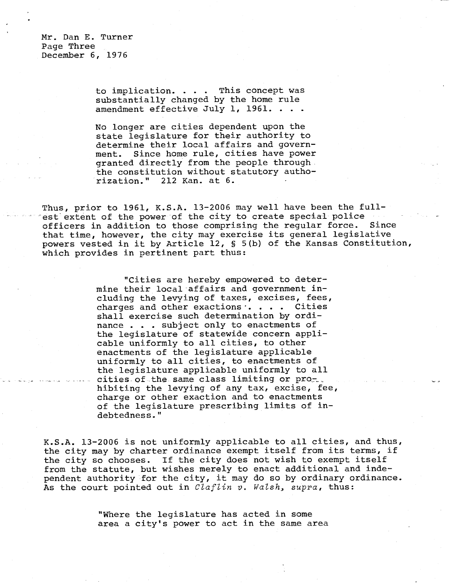Mr. Dan E. Turner Page Three December 6, 1976

> to implication. . . . This concept was substantially changed by the home rule amendment effective July 1, 1961. .

No longer are cities dependent upon the state legislature for their authority to determine their local affairs and government. Since home rule, cities have power granted directly from the people through the constitution without statutory authorization." 212 Kan. at 6.

Thus, prior to 1961, K.S.A. 13-2006 may well have been the fullest extent of the power of the city to create special police officers in addition to those comprising the regular force. Since that time, however, the city may exercise its general legislative powers vested in it by Article 12, § 5(b) of the Kansas Constitution, which provides in pertinent part thus:

> "Cities are hereby empowered to determine their local affairs and government including the levying of taxes, excises, fees, charges and other exactions  $\cdots$  . . . Cities shall exercise such determination by ordinance . . . subject only to enactments of the legislature of statewide concern applicable uniformly to all cities, to other enactments of the legislature applicable uniformly to all cities, to enactments of the legislature applicable uniformly to all cities of the same class limiting or prohibiting the levying of any tax, excise, fee, charge or other exaction and to enactments of the legislature prescribing limits of indebtedness."

K.S.A. 13-2006 is not uniformly applicable to all cities, and thus, the city may by charter ordinance exempt itself from its terms, if the city so chooses. If the city does not wish to exempt itself from the statute, but wishes merely to enact additional and independent authority for the city, it may do so by ordinary ordinance. As the court pointed out in *Claflin v. Walsh*, supra, thus:

> "Where the legislature has acted in some area a city's power to act in the same area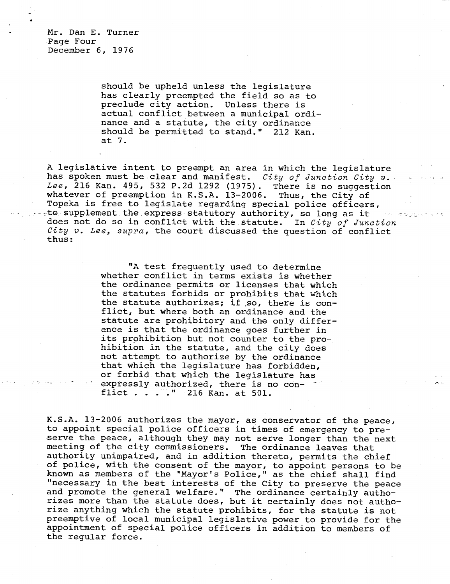Mr. Dan E. Turner Page Four December 6, 1976

> should be upheld unless the legislature has clearly preempted the field so as to preclude city action. Unless there is actual conflict between a municipal ordinance and a statute, the city ordinance should be permitted to stand." 212 Kan. at 7.

A legislative intent to preempt an area in which the legislature has spoken must be clear and manifest. City of Junction City v. Lee, 216 Kan. 495, 532 P.2d 1292 (1975). There is no suggestion whatever of preemption in K.S.A. 13-2006. Thus, the City of Topeka is free to legislate regarding special police officers, to supplement the express statutory authority, so long as it does not do so in conflict with the statute. In City of Junction City  $v$ . Lee, supra, the court discussed the question of conflict thus:

> "A test frequently used to determine whether conflict in terms exists is whether the ordinance permits or licenses that which the statutes forbids or prohibits that which the statute authorizes; if .so, there is conflict, but where both an ordinance and the statute are prohibitory and the only difference is that the ordinance goes further in its prohibition but not counter to the pro hibition in the statute, and the city does not attempt to authorize by the ordinance that which the legislature has forbidden, or forbid that which the legislature has expressly authorized, there is no conflict . . . ." 216 Kan. at 501.

K.S.A. 13-2006 authorizes the mayor, as conservator of the peace, to appoint special police officers in times of emergency to preserve the peace, although they may not serve longer than the next meeting of the city commissioners. The ordinance leaves that authority unimpaired, and in addition thereto, permits the chief of police, with the consent of the mayor, to appoint persons to be known as members of the "Mayor's Police," as the chief shall find "necessary in the best interests of the City to preserve the peace and promote the general welfare." The ordinance certainly authorizes more than the statute does, but it certainly does not authorize anything which the statute prohibits, for the statute is not preemptive of local municipal legislative power to provide for the appointment of special police officers in addition to members of the regular force.